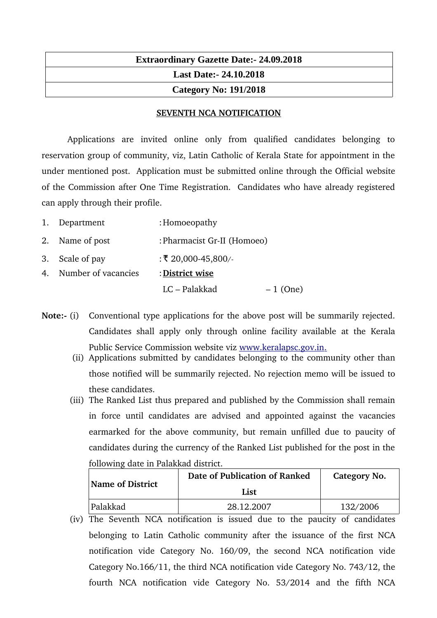## **Extraordinary Gazette Date:- 24.09.2018 Last Date:- 24.10.2018 Category No: 191/2018**

## **SEVENTH NCA NOTIFICATION**

Applications are invited online only from qualified candidates belonging to reservation group of community, viz, Latin Catholic of Kerala State for appointment in the under mentioned post. Application must be submitted online through the Official website of the Commission after One Time Registration. Candidates who have already registered can apply through their profile.

| 1. Department          | : Homoeopathy               |            |
|------------------------|-----------------------------|------------|
| 2. Name of post        | : Pharmacist Gr-II (Homoeo) |            |
| 3. Scale of pay        | : ₹ 20,000-45,800/-         |            |
| 4. Number of vacancies | : District wise             |            |
|                        | LC – Palakkad               | $-1$ (One) |

- **Note:** (i) Conventional type applications for the above post will be summarily rejected. Candidates shall apply only through online facility available at the Kerala Public Service Commission website viz www.keralapsc.gov.in.
	- (ii) Applications submitted by candidates belonging to the community other than those notified will be summarily rejected. No rejection memo will be issued to these candidates.
	- (iii) The Ranked List thus prepared and published by the Commission shall remain in force until candidates are advised and appointed against the vacancies earmarked for the above community, but remain unfilled due to paucity of candidates during the currency of the Ranked List published for the post in the following date in Palakkad district.

| <b>Name of District</b> | Date of Publication of Ranked | Category No. |
|-------------------------|-------------------------------|--------------|
|                         | List                          |              |
| Palakkad                | 28.12.2007                    | 132/2006     |

(iv) The Seventh NCA notification is issued due to the paucity of candidates belonging to Latin Catholic community after the issuance of the first NCA notification vide Category No. 160/09, the second NCA notification vide Category No.166/11, the third NCA notification vide Category No. 743/12, the fourth NCA notification vide Category No. 53/2014 and the fifth NCA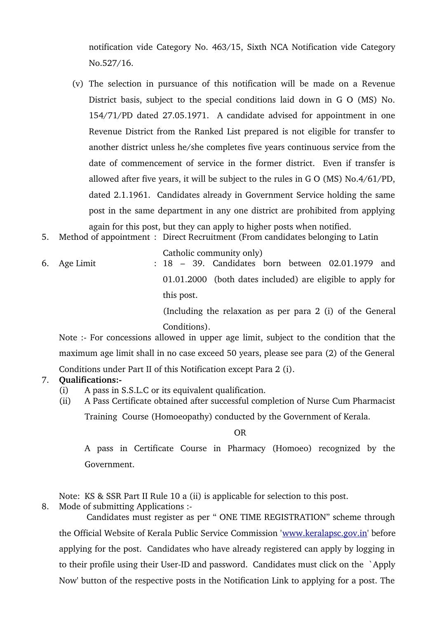notification vide Category No. 463/15, Sixth NCA Notification vide Category No.527/16.

- (v) The selection in pursuance of this notification will be made on a Revenue District basis, subject to the special conditions laid down in G O (MS) No. 154/71/PD dated 27.05.1971. A candidate advised for appointment in one Revenue District from the Ranked List prepared is not eligible for transfer to another district unless he/she completes five years continuous service from the date of commencement of service in the former district. Even if transfer is allowed after five years, it will be subject to the rules in G O (MS) No.4/61/PD, dated 2.1.1961. Candidates already in Government Service holding the same post in the same department in any one district are prohibited from applying again for this post, but they can apply to higher posts when notified.
- 5. Method of appointment : Direct Recruitment (From candidates belonging to Latin

Catholic community only)

6. Age Limit : 18 – 39. Candidates born between 02.01.1979 and 01.01.2000 (both dates included) are eligible to apply for this post.

(Including the relaxation as per para 2 (i) of the General Conditions).

Note :- For concessions allowed in upper age limit, subject to the condition that the maximum age limit shall in no case exceed 50 years, please see para (2) of the General Conditions under Part II of this Notification except Para 2 (i).

## 7. **Qualifications:**

- (i) A pass in S.S.L.C or its equivalent qualification.
- (ii) A Pass Certificate obtained after successful completion of Nurse Cum Pharmacist

Training Course (Homoeopathy) conducted by the Government of Kerala.

OR

A pass in Certificate Course in Pharmacy (Homoeo) recognized by the Government.

Note: KS & SSR Part II Rule 10 a (ii) is applicable for selection to this post.

8. Mode of submitting Applications :

 Candidates must register as per " ONE TIME REGISTRATION" scheme through the Official Website of Kerala Public Service Commission '[www.keralapsc.gov.in'](http://www.keralapsc.gov.in/) before applying for the post. Candidates who have already registered can apply by logging in to their profile using their User-ID and password. Candidates must click on the `Apply Now' button of the respective posts in the Notification Link to applying for a post. The